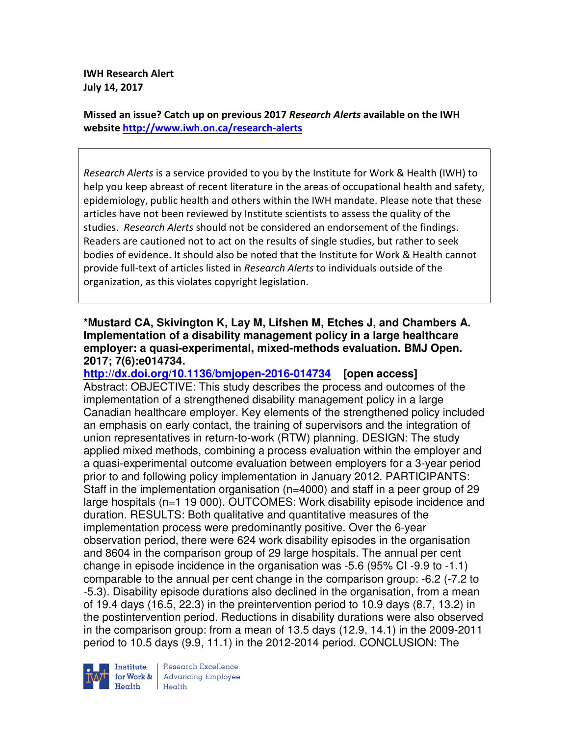**IWH Research Alert July 14, 2017** 

**Missed an issue? Catch up on previous 2017** *Research Alerts* **available on the IWH website http://www.iwh.on.ca/research-alerts**

*Research Alerts* is a service provided to you by the Institute for Work & Health (IWH) to help you keep abreast of recent literature in the areas of occupational health and safety, epidemiology, public health and others within the IWH mandate. Please note that these articles have not been reviewed by Institute scientists to assess the quality of the studies. *Research Alerts* should not be considered an endorsement of the findings. Readers are cautioned not to act on the results of single studies, but rather to seek bodies of evidence. It should also be noted that the Institute for Work & Health cannot provide full-text of articles listed in *Research Alerts* to individuals outside of the organization, as this violates copyright legislation.

### **\*Mustard CA, Skivington K, Lay M, Lifshen M, Etches J, and Chambers A. Implementation of a disability management policy in a large healthcare employer: a quasi-experimental, mixed-methods evaluation. BMJ Open. 2017; 7(6):e014734.**

**http://dx.doi.org/10.1136/bmjopen-2016-014734 [open access]** Abstract: OBJECTIVE: This study describes the process and outcomes of the implementation of a strengthened disability management policy in a large Canadian healthcare employer. Key elements of the strengthened policy included an emphasis on early contact, the training of supervisors and the integration of union representatives in return-to-work (RTW) planning. DESIGN: The study applied mixed methods, combining a process evaluation within the employer and a quasi-experimental outcome evaluation between employers for a 3-year period prior to and following policy implementation in January 2012. PARTICIPANTS: Staff in the implementation organisation (n=4000) and staff in a peer group of 29 large hospitals (n=1 19 000). OUTCOMES: Work disability episode incidence and duration. RESULTS: Both qualitative and quantitative measures of the implementation process were predominantly positive. Over the 6-year observation period, there were 624 work disability episodes in the organisation and 8604 in the comparison group of 29 large hospitals. The annual per cent change in episode incidence in the organisation was -5.6 (95% CI -9.9 to -1.1) comparable to the annual per cent change in the comparison group: -6.2 (-7.2 to -5.3). Disability episode durations also declined in the organisation, from a mean of 19.4 days (16.5, 22.3) in the preintervention period to 10.9 days (8.7, 13.2) in the postintervention period. Reductions in disability durations were also observed in the comparison group: from a mean of 13.5 days (12.9, 14.1) in the 2009-2011 period to 10.5 days (9.9, 11.1) in the 2012-2014 period. CONCLUSION: The

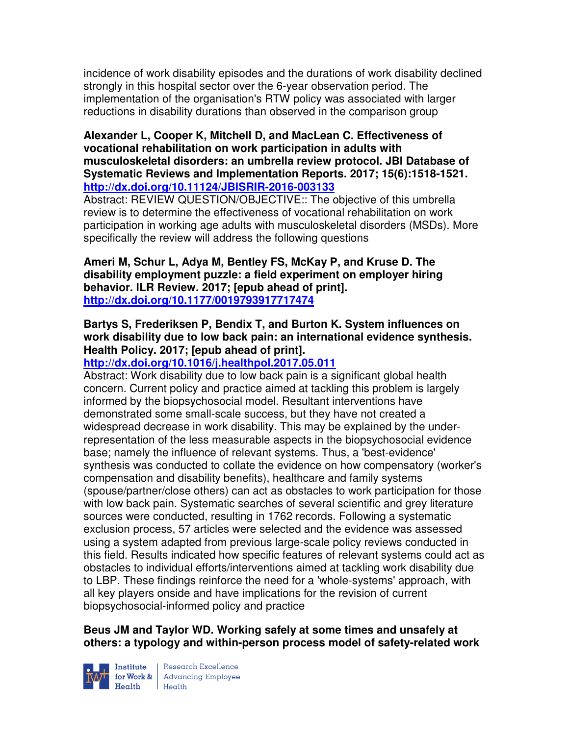incidence of work disability episodes and the durations of work disability declined strongly in this hospital sector over the 6-year observation period. The implementation of the organisation's RTW policy was associated with larger reductions in disability durations than observed in the comparison group

### **Alexander L, Cooper K, Mitchell D, and MacLean C. Effectiveness of vocational rehabilitation on work participation in adults with musculoskeletal disorders: an umbrella review protocol. JBI Database of Systematic Reviews and Implementation Reports. 2017; 15(6):1518-1521. http://dx.doi.org/10.11124/JBISRIR-2016-003133**

Abstract: REVIEW QUESTION/OBJECTIVE:: The objective of this umbrella review is to determine the effectiveness of vocational rehabilitation on work participation in working age adults with musculoskeletal disorders (MSDs). More specifically the review will address the following questions

### **Ameri M, Schur L, Adya M, Bentley FS, McKay P, and Kruse D. The disability employment puzzle: a field experiment on employer hiring behavior. ILR Review. 2017; [epub ahead of print]. http://dx.doi.org/10.1177/0019793917717474**

# **Bartys S, Frederiksen P, Bendix T, and Burton K. System influences on work disability due to low back pain: an international evidence synthesis. Health Policy. 2017; [epub ahead of print].**

# **http://dx.doi.org/10.1016/j.healthpol.2017.05.011**

Abstract: Work disability due to low back pain is a significant global health concern. Current policy and practice aimed at tackling this problem is largely informed by the biopsychosocial model. Resultant interventions have demonstrated some small-scale success, but they have not created a widespread decrease in work disability. This may be explained by the underrepresentation of the less measurable aspects in the biopsychosocial evidence base; namely the influence of relevant systems. Thus, a 'best-evidence' synthesis was conducted to collate the evidence on how compensatory (worker's compensation and disability benefits), healthcare and family systems (spouse/partner/close others) can act as obstacles to work participation for those with low back pain. Systematic searches of several scientific and grey literature sources were conducted, resulting in 1762 records. Following a systematic exclusion process, 57 articles were selected and the evidence was assessed using a system adapted from previous large-scale policy reviews conducted in this field. Results indicated how specific features of relevant systems could act as obstacles to individual efforts/interventions aimed at tackling work disability due to LBP. These findings reinforce the need for a 'whole-systems' approach, with all key players onside and have implications for the revision of current biopsychosocial-informed policy and practice

## **Beus JM and Taylor WD. Working safely at some times and unsafely at others: a typology and within-person process model of safety-related work**



**Institute** Research Excellence<br> **for Work &** Advancing Employee<br> **Health** Health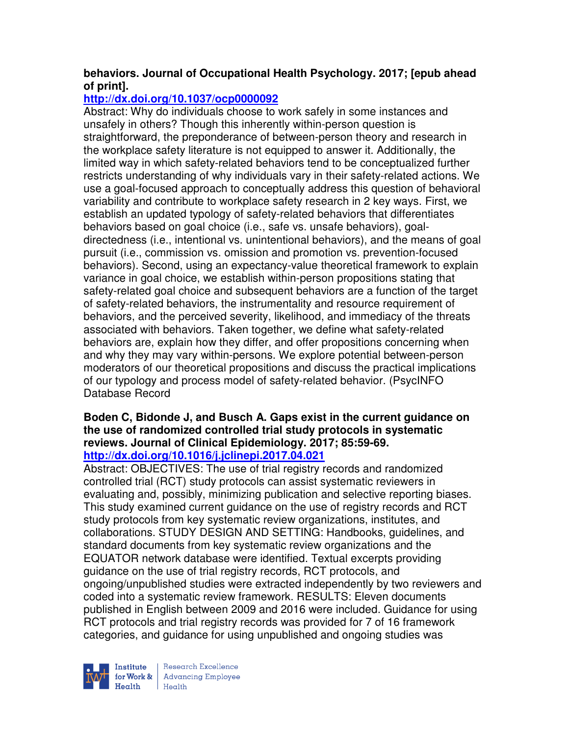# **behaviors. Journal of Occupational Health Psychology. 2017; [epub ahead of print].**

# **http://dx.doi.org/10.1037/ocp0000092**

Abstract: Why do individuals choose to work safely in some instances and unsafely in others? Though this inherently within-person question is straightforward, the preponderance of between-person theory and research in the workplace safety literature is not equipped to answer it. Additionally, the limited way in which safety-related behaviors tend to be conceptualized further restricts understanding of why individuals vary in their safety-related actions. We use a goal-focused approach to conceptually address this question of behavioral variability and contribute to workplace safety research in 2 key ways. First, we establish an updated typology of safety-related behaviors that differentiates behaviors based on goal choice (i.e., safe vs. unsafe behaviors), goaldirectedness (i.e., intentional vs. unintentional behaviors), and the means of goal pursuit (i.e., commission vs. omission and promotion vs. prevention-focused behaviors). Second, using an expectancy-value theoretical framework to explain variance in goal choice, we establish within-person propositions stating that safety-related goal choice and subsequent behaviors are a function of the target of safety-related behaviors, the instrumentality and resource requirement of behaviors, and the perceived severity, likelihood, and immediacy of the threats associated with behaviors. Taken together, we define what safety-related behaviors are, explain how they differ, and offer propositions concerning when and why they may vary within-persons. We explore potential between-person moderators of our theoretical propositions and discuss the practical implications of our typology and process model of safety-related behavior. (PsycINFO Database Record

### **Boden C, Bidonde J, and Busch A. Gaps exist in the current guidance on the use of randomized controlled trial study protocols in systematic reviews. Journal of Clinical Epidemiology. 2017; 85:59-69. http://dx.doi.org/10.1016/j.jclinepi.2017.04.021**

Abstract: OBJECTIVES: The use of trial registry records and randomized controlled trial (RCT) study protocols can assist systematic reviewers in evaluating and, possibly, minimizing publication and selective reporting biases. This study examined current guidance on the use of registry records and RCT study protocols from key systematic review organizations, institutes, and collaborations. STUDY DESIGN AND SETTING: Handbooks, guidelines, and standard documents from key systematic review organizations and the EQUATOR network database were identified. Textual excerpts providing guidance on the use of trial registry records, RCT protocols, and ongoing/unpublished studies were extracted independently by two reviewers and coded into a systematic review framework. RESULTS: Eleven documents published in English between 2009 and 2016 were included. Guidance for using RCT protocols and trial registry records was provided for 7 of 16 framework categories, and guidance for using unpublished and ongoing studies was



Research Excellence Finantium Research Excellence<br>
Finantium Research Employee<br>
Realth Health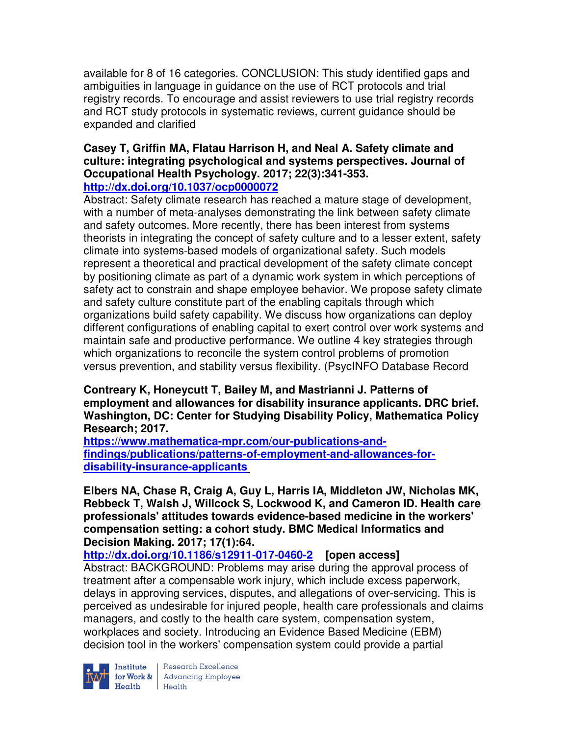available for 8 of 16 categories. CONCLUSION: This study identified gaps and ambiguities in language in guidance on the use of RCT protocols and trial registry records. To encourage and assist reviewers to use trial registry records and RCT study protocols in systematic reviews, current guidance should be expanded and clarified

#### **Casey T, Griffin MA, Flatau Harrison H, and Neal A. Safety climate and culture: integrating psychological and systems perspectives. Journal of Occupational Health Psychology. 2017; 22(3):341-353. http://dx.doi.org/10.1037/ocp0000072**

Abstract: Safety climate research has reached a mature stage of development, with a number of meta-analyses demonstrating the link between safety climate and safety outcomes. More recently, there has been interest from systems theorists in integrating the concept of safety culture and to a lesser extent, safety climate into systems-based models of organizational safety. Such models represent a theoretical and practical development of the safety climate concept by positioning climate as part of a dynamic work system in which perceptions of safety act to constrain and shape employee behavior. We propose safety climate and safety culture constitute part of the enabling capitals through which organizations build safety capability. We discuss how organizations can deploy different configurations of enabling capital to exert control over work systems and maintain safe and productive performance. We outline 4 key strategies through which organizations to reconcile the system control problems of promotion versus prevention, and stability versus flexibility. (PsycINFO Database Record

### **Contreary K, Honeycutt T, Bailey M, and Mastrianni J. Patterns of employment and allowances for disability insurance applicants. DRC brief. Washington, DC: Center for Studying Disability Policy, Mathematica Policy Research; 2017.**

**https://www.mathematica-mpr.com/our-publications-andfindings/publications/patterns-of-employment-and-allowances-fordisability-insurance-applicants** 

**Elbers NA, Chase R, Craig A, Guy L, Harris IA, Middleton JW, Nicholas MK, Rebbeck T, Walsh J, Willcock S, Lockwood K, and Cameron ID. Health care professionals' attitudes towards evidence-based medicine in the workers' compensation setting: a cohort study. BMC Medical Informatics and Decision Making. 2017; 17(1):64.** 

**http://dx.doi.org/10.1186/s12911-017-0460-2 [open access]**

Abstract: BACKGROUND: Problems may arise during the approval process of treatment after a compensable work injury, which include excess paperwork, delays in approving services, disputes, and allegations of over-servicing. This is perceived as undesirable for injured people, health care professionals and claims managers, and costly to the health care system, compensation system, workplaces and society. Introducing an Evidence Based Medicine (EBM) decision tool in the workers' compensation system could provide a partial



Institute Research Excellence<br>
for Work & Advancing Employee<br>
Health Health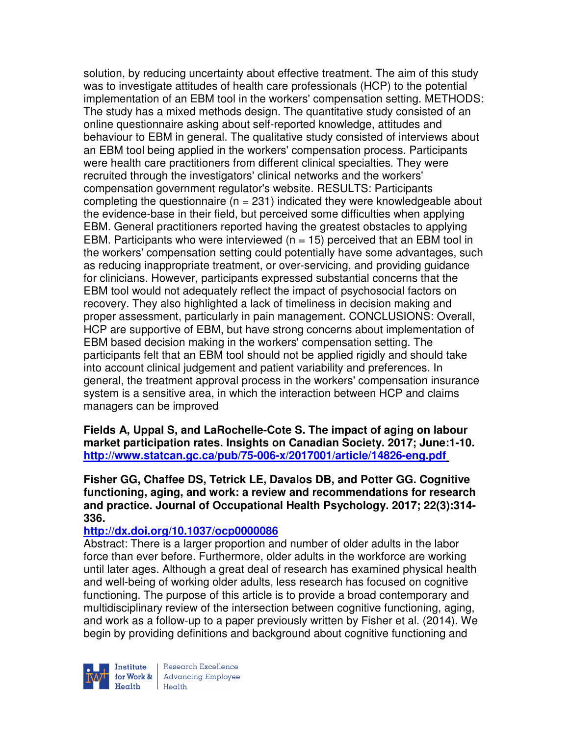solution, by reducing uncertainty about effective treatment. The aim of this study was to investigate attitudes of health care professionals (HCP) to the potential implementation of an EBM tool in the workers' compensation setting. METHODS: The study has a mixed methods design. The quantitative study consisted of an online questionnaire asking about self-reported knowledge, attitudes and behaviour to EBM in general. The qualitative study consisted of interviews about an EBM tool being applied in the workers' compensation process. Participants were health care practitioners from different clinical specialties. They were recruited through the investigators' clinical networks and the workers' compensation government regulator's website. RESULTS: Participants completing the questionnaire  $(n = 231)$  indicated they were knowledgeable about the evidence-base in their field, but perceived some difficulties when applying EBM. General practitioners reported having the greatest obstacles to applying EBM. Participants who were interviewed ( $n = 15$ ) perceived that an EBM tool in the workers' compensation setting could potentially have some advantages, such as reducing inappropriate treatment, or over-servicing, and providing guidance for clinicians. However, participants expressed substantial concerns that the EBM tool would not adequately reflect the impact of psychosocial factors on recovery. They also highlighted a lack of timeliness in decision making and proper assessment, particularly in pain management. CONCLUSIONS: Overall, HCP are supportive of EBM, but have strong concerns about implementation of EBM based decision making in the workers' compensation setting. The participants felt that an EBM tool should not be applied rigidly and should take into account clinical judgement and patient variability and preferences. In general, the treatment approval process in the workers' compensation insurance system is a sensitive area, in which the interaction between HCP and claims managers can be improved

**Fields A, Uppal S, and LaRochelle-Cote S. The impact of aging on labour market participation rates. Insights on Canadian Society. 2017; June:1-10. http://www.statcan.gc.ca/pub/75-006-x/2017001/article/14826-eng.pdf** 

**Fisher GG, Chaffee DS, Tetrick LE, Davalos DB, and Potter GG. Cognitive functioning, aging, and work: a review and recommendations for research and practice. Journal of Occupational Health Psychology. 2017; 22(3):314- 336.** 

### **http://dx.doi.org/10.1037/ocp0000086**

Abstract: There is a larger proportion and number of older adults in the labor force than ever before. Furthermore, older adults in the workforce are working until later ages. Although a great deal of research has examined physical health and well-being of working older adults, less research has focused on cognitive functioning. The purpose of this article is to provide a broad contemporary and multidisciplinary review of the intersection between cognitive functioning, aging, and work as a follow-up to a paper previously written by Fisher et al. (2014). We begin by providing definitions and background about cognitive functioning and

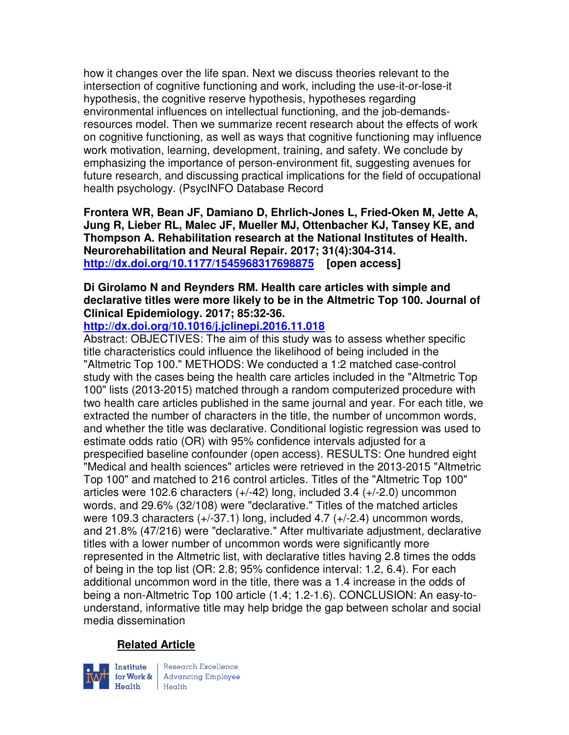how it changes over the life span. Next we discuss theories relevant to the intersection of cognitive functioning and work, including the use-it-or-lose-it hypothesis, the cognitive reserve hypothesis, hypotheses regarding environmental influences on intellectual functioning, and the job-demandsresources model. Then we summarize recent research about the effects of work on cognitive functioning, as well as ways that cognitive functioning may influence work motivation, learning, development, training, and safety. We conclude by emphasizing the importance of person-environment fit, suggesting avenues for future research, and discussing practical implications for the field of occupational health psychology. (PsycINFO Database Record

**Frontera WR, Bean JF, Damiano D, Ehrlich-Jones L, Fried-Oken M, Jette A, Jung R, Lieber RL, Malec JF, Mueller MJ, Ottenbacher KJ, Tansey KE, and Thompson A. Rehabilitation research at the National Institutes of Health. Neurorehabilitation and Neural Repair. 2017; 31(4):304-314. http://dx.doi.org/10.1177/1545968317698875 [open access]** 

### **Di Girolamo N and Reynders RM. Health care articles with simple and declarative titles were more likely to be in the Altmetric Top 100. Journal of Clinical Epidemiology. 2017; 85:32-36.**

# **http://dx.doi.org/10.1016/j.jclinepi.2016.11.018**

Abstract: OBJECTIVES: The aim of this study was to assess whether specific title characteristics could influence the likelihood of being included in the "Altmetric Top 100." METHODS: We conducted a 1:2 matched case-control study with the cases being the health care articles included in the "Altmetric Top 100" lists (2013-2015) matched through a random computerized procedure with two health care articles published in the same journal and year. For each title, we extracted the number of characters in the title, the number of uncommon words, and whether the title was declarative. Conditional logistic regression was used to estimate odds ratio (OR) with 95% confidence intervals adjusted for a prespecified baseline confounder (open access). RESULTS: One hundred eight "Medical and health sciences" articles were retrieved in the 2013-2015 "Altmetric Top 100" and matched to 216 control articles. Titles of the "Altmetric Top 100" articles were 102.6 characters (+/-42) long, included 3.4 (+/-2.0) uncommon words, and 29.6% (32/108) were "declarative." Titles of the matched articles were 109.3 characters (+/-37.1) long, included 4.7 (+/-2.4) uncommon words, and 21.8% (47/216) were "declarative." After multivariate adjustment, declarative titles with a lower number of uncommon words were significantly more represented in the Altmetric list, with declarative titles having 2.8 times the odds of being in the top list (OR: 2.8; 95% confidence interval: 1.2, 6.4). For each additional uncommon word in the title, there was a 1.4 increase in the odds of being a non-Altmetric Top 100 article (1.4; 1.2-1.6). CONCLUSION: An easy-tounderstand, informative title may help bridge the gap between scholar and social media dissemination

# **Related Article**

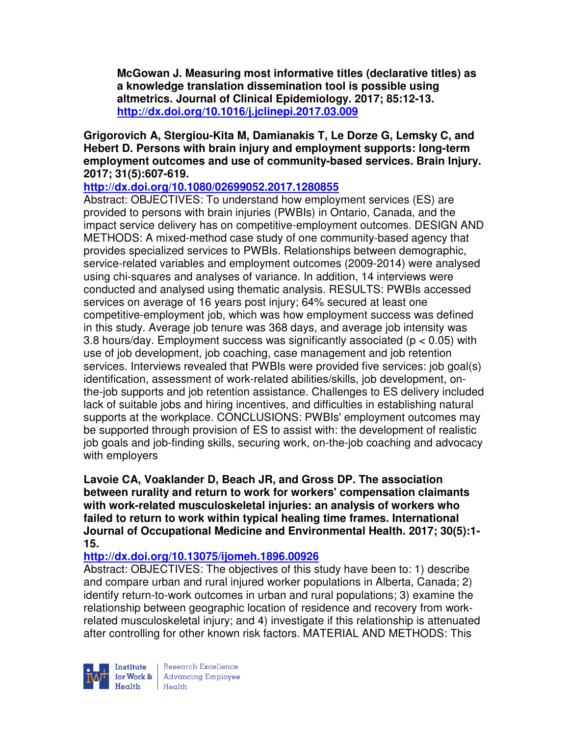**McGowan J. Measuring most informative titles (declarative titles) as a knowledge translation dissemination tool is possible using altmetrics. Journal of Clinical Epidemiology. 2017; 85:12-13. http://dx.doi.org/10.1016/j.jclinepi.2017.03.009** 

## **Grigorovich A, Stergiou-Kita M, Damianakis T, Le Dorze G, Lemsky C, and Hebert D. Persons with brain injury and employment supports: long-term employment outcomes and use of community-based services. Brain Injury. 2017; 31(5):607-619.**

## **http://dx.doi.org/10.1080/02699052.2017.1280855**

Abstract: OBJECTIVES: To understand how employment services (ES) are provided to persons with brain injuries (PWBIs) in Ontario, Canada, and the impact service delivery has on competitive-employment outcomes. DESIGN AND METHODS: A mixed-method case study of one community-based agency that provides specialized services to PWBIs. Relationships between demographic, service-related variables and employment outcomes (2009-2014) were analysed using chi-squares and analyses of variance. In addition, 14 interviews were conducted and analysed using thematic analysis. RESULTS: PWBIs accessed services on average of 16 years post injury; 64% secured at least one competitive-employment job, which was how employment success was defined in this study. Average job tenure was 368 days, and average job intensity was 3.8 hours/day. Employment success was significantly associated ( $p < 0.05$ ) with use of job development, job coaching, case management and job retention services. Interviews revealed that PWBIs were provided five services: job goal(s) identification, assessment of work-related abilities/skills, job development, onthe-job supports and job retention assistance. Challenges to ES delivery included lack of suitable jobs and hiring incentives, and difficulties in establishing natural supports at the workplace. CONCLUSIONS: PWBIs' employment outcomes may be supported through provision of ES to assist with: the development of realistic job goals and job-finding skills, securing work, on-the-job coaching and advocacy with employers

**Lavoie CA, Voaklander D, Beach JR, and Gross DP. The association between rurality and return to work for workers' compensation claimants with work-related musculoskeletal injuries: an analysis of workers who failed to return to work within typical healing time frames. International Journal of Occupational Medicine and Environmental Health. 2017; 30(5):1- 15.** 

# **http://dx.doi.org/10.13075/ijomeh.1896.00926**

Abstract: OBJECTIVES: The objectives of this study have been to: 1) describe and compare urban and rural injured worker populations in Alberta, Canada; 2) identify return-to-work outcomes in urban and rural populations; 3) examine the relationship between geographic location of residence and recovery from workrelated musculoskeletal injury; and 4) investigate if this relationship is attenuated after controlling for other known risk factors. MATERIAL AND METHODS: This

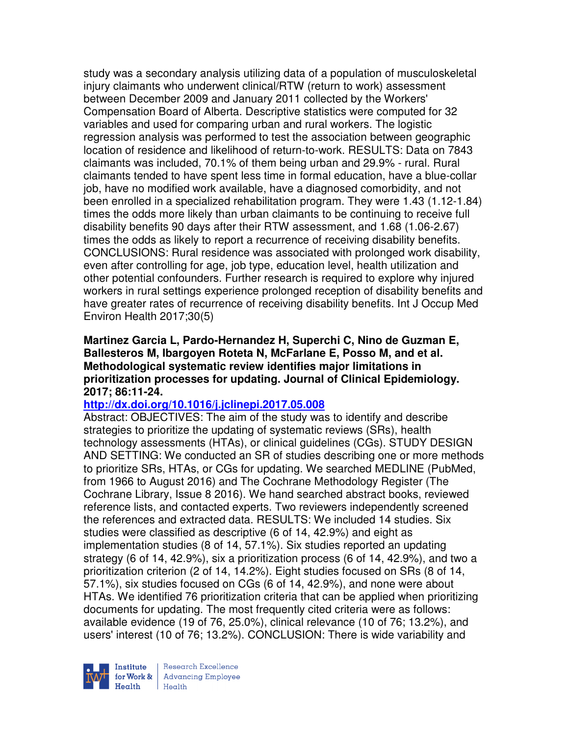study was a secondary analysis utilizing data of a population of musculoskeletal injury claimants who underwent clinical/RTW (return to work) assessment between December 2009 and January 2011 collected by the Workers' Compensation Board of Alberta. Descriptive statistics were computed for 32 variables and used for comparing urban and rural workers. The logistic regression analysis was performed to test the association between geographic location of residence and likelihood of return-to-work. RESULTS: Data on 7843 claimants was included, 70.1% of them being urban and 29.9% - rural. Rural claimants tended to have spent less time in formal education, have a blue-collar job, have no modified work available, have a diagnosed comorbidity, and not been enrolled in a specialized rehabilitation program. They were 1.43 (1.12-1.84) times the odds more likely than urban claimants to be continuing to receive full disability benefits 90 days after their RTW assessment, and 1.68 (1.06-2.67) times the odds as likely to report a recurrence of receiving disability benefits. CONCLUSIONS: Rural residence was associated with prolonged work disability, even after controlling for age, job type, education level, health utilization and other potential confounders. Further research is required to explore why injured workers in rural settings experience prolonged reception of disability benefits and have greater rates of recurrence of receiving disability benefits. Int J Occup Med Environ Health 2017;30(5)

### **Martinez Garcia L, Pardo-Hernandez H, Superchi C, Nino de Guzman E, Ballesteros M, Ibargoyen Roteta N, McFarlane E, Posso M, and et al. Methodological systematic review identifies major limitations in prioritization processes for updating. Journal of Clinical Epidemiology. 2017; 86:11-24.**

# **http://dx.doi.org/10.1016/j.jclinepi.2017.05.008**

Abstract: OBJECTIVES: The aim of the study was to identify and describe strategies to prioritize the updating of systematic reviews (SRs), health technology assessments (HTAs), or clinical guidelines (CGs). STUDY DESIGN AND SETTING: We conducted an SR of studies describing one or more methods to prioritize SRs, HTAs, or CGs for updating. We searched MEDLINE (PubMed, from 1966 to August 2016) and The Cochrane Methodology Register (The Cochrane Library, Issue 8 2016). We hand searched abstract books, reviewed reference lists, and contacted experts. Two reviewers independently screened the references and extracted data. RESULTS: We included 14 studies. Six studies were classified as descriptive (6 of 14, 42.9%) and eight as implementation studies (8 of 14, 57.1%). Six studies reported an updating strategy (6 of 14, 42.9%), six a prioritization process (6 of 14, 42.9%), and two a prioritization criterion (2 of 14, 14.2%). Eight studies focused on SRs (8 of 14, 57.1%), six studies focused on CGs (6 of 14, 42.9%), and none were about HTAs. We identified 76 prioritization criteria that can be applied when prioritizing documents for updating. The most frequently cited criteria were as follows: available evidence (19 of 76, 25.0%), clinical relevance (10 of 76; 13.2%), and users' interest (10 of 76; 13.2%). CONCLUSION: There is wide variability and

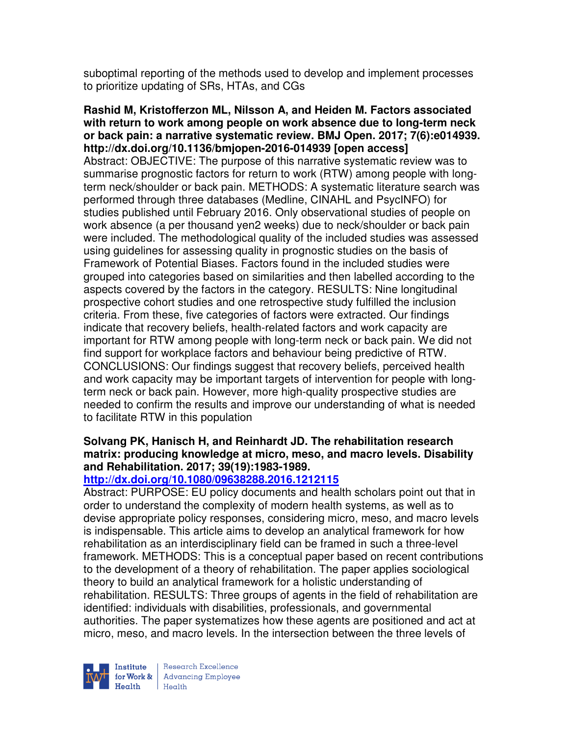suboptimal reporting of the methods used to develop and implement processes to prioritize updating of SRs, HTAs, and CGs

**Rashid M, Kristofferzon ML, Nilsson A, and Heiden M. Factors associated with return to work among people on work absence due to long-term neck or back pain: a narrative systematic review. BMJ Open. 2017; 7(6):e014939. http://dx.doi.org/10.1136/bmjopen-2016-014939 [open access]** Abstract: OBJECTIVE: The purpose of this narrative systematic review was to summarise prognostic factors for return to work (RTW) among people with longterm neck/shoulder or back pain. METHODS: A systematic literature search was performed through three databases (Medline, CINAHL and PsycINFO) for studies published until February 2016. Only observational studies of people on work absence (a per thousand yen2 weeks) due to neck/shoulder or back pain were included. The methodological quality of the included studies was assessed using guidelines for assessing quality in prognostic studies on the basis of Framework of Potential Biases. Factors found in the included studies were grouped into categories based on similarities and then labelled according to the aspects covered by the factors in the category. RESULTS: Nine longitudinal prospective cohort studies and one retrospective study fulfilled the inclusion criteria. From these, five categories of factors were extracted. Our findings indicate that recovery beliefs, health-related factors and work capacity are important for RTW among people with long-term neck or back pain. We did not find support for workplace factors and behaviour being predictive of RTW. CONCLUSIONS: Our findings suggest that recovery beliefs, perceived health and work capacity may be important targets of intervention for people with longterm neck or back pain. However, more high-quality prospective studies are needed to confirm the results and improve our understanding of what is needed to facilitate RTW in this population

## **Solvang PK, Hanisch H, and Reinhardt JD. The rehabilitation research matrix: producing knowledge at micro, meso, and macro levels. Disability and Rehabilitation. 2017; 39(19):1983-1989.**

# **http://dx.doi.org/10.1080/09638288.2016.1212115**

Abstract: PURPOSE: EU policy documents and health scholars point out that in order to understand the complexity of modern health systems, as well as to devise appropriate policy responses, considering micro, meso, and macro levels is indispensable. This article aims to develop an analytical framework for how rehabilitation as an interdisciplinary field can be framed in such a three-level framework. METHODS: This is a conceptual paper based on recent contributions to the development of a theory of rehabilitation. The paper applies sociological theory to build an analytical framework for a holistic understanding of rehabilitation. RESULTS: Three groups of agents in the field of rehabilitation are identified: individuals with disabilities, professionals, and governmental authorities. The paper systematizes how these agents are positioned and act at micro, meso, and macro levels. In the intersection between the three levels of

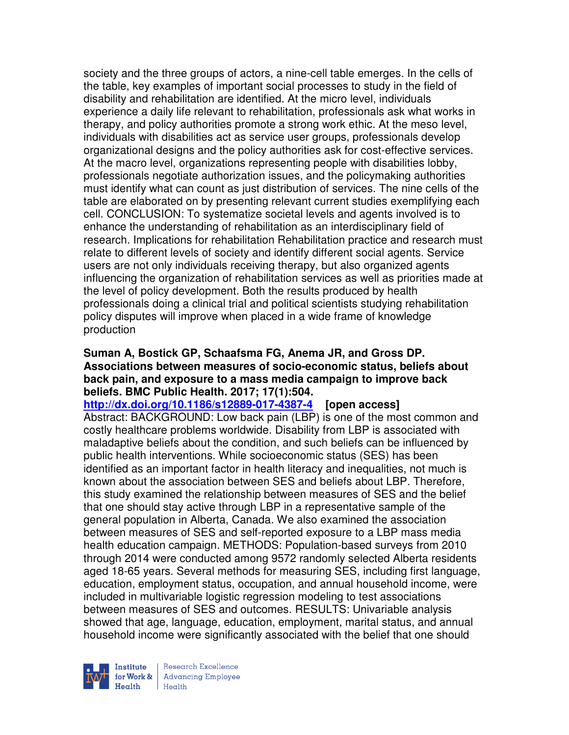society and the three groups of actors, a nine-cell table emerges. In the cells of the table, key examples of important social processes to study in the field of disability and rehabilitation are identified. At the micro level, individuals experience a daily life relevant to rehabilitation, professionals ask what works in therapy, and policy authorities promote a strong work ethic. At the meso level, individuals with disabilities act as service user groups, professionals develop organizational designs and the policy authorities ask for cost-effective services. At the macro level, organizations representing people with disabilities lobby, professionals negotiate authorization issues, and the policymaking authorities must identify what can count as just distribution of services. The nine cells of the table are elaborated on by presenting relevant current studies exemplifying each cell. CONCLUSION: To systematize societal levels and agents involved is to enhance the understanding of rehabilitation as an interdisciplinary field of research. Implications for rehabilitation Rehabilitation practice and research must relate to different levels of society and identify different social agents. Service users are not only individuals receiving therapy, but also organized agents influencing the organization of rehabilitation services as well as priorities made at the level of policy development. Both the results produced by health professionals doing a clinical trial and political scientists studying rehabilitation policy disputes will improve when placed in a wide frame of knowledge production

#### **Suman A, Bostick GP, Schaafsma FG, Anema JR, and Gross DP. Associations between measures of socio-economic status, beliefs about back pain, and exposure to a mass media campaign to improve back beliefs. BMC Public Health. 2017; 17(1):504.**

**http://dx.doi.org/10.1186/s12889-017-4387-4 [open access]** Abstract: BACKGROUND: Low back pain (LBP) is one of the most common and costly healthcare problems worldwide. Disability from LBP is associated with maladaptive beliefs about the condition, and such beliefs can be influenced by public health interventions. While socioeconomic status (SES) has been identified as an important factor in health literacy and inequalities, not much is known about the association between SES and beliefs about LBP. Therefore, this study examined the relationship between measures of SES and the belief that one should stay active through LBP in a representative sample of the general population in Alberta, Canada. We also examined the association between measures of SES and self-reported exposure to a LBP mass media health education campaign. METHODS: Population-based surveys from 2010 through 2014 were conducted among 9572 randomly selected Alberta residents aged 18-65 years. Several methods for measuring SES, including first language, education, employment status, occupation, and annual household income, were included in multivariable logistic regression modeling to test associations between measures of SES and outcomes. RESULTS: Univariable analysis showed that age, language, education, employment, marital status, and annual household income were significantly associated with the belief that one should

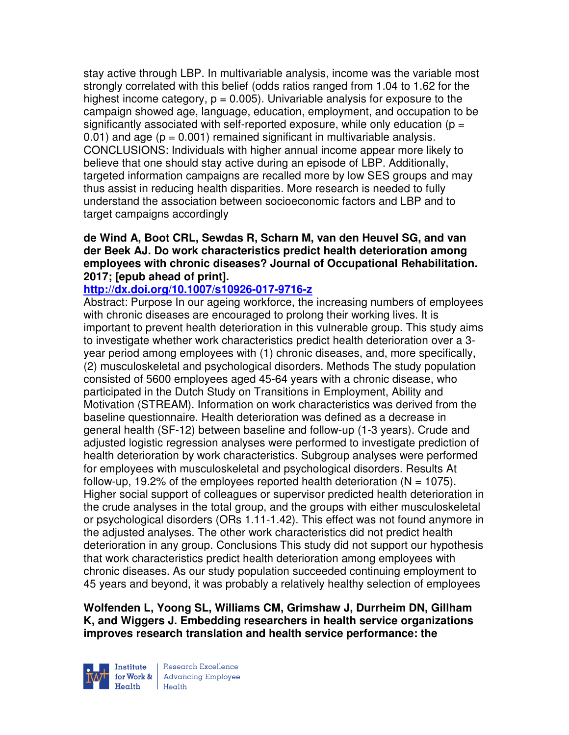stay active through LBP. In multivariable analysis, income was the variable most strongly correlated with this belief (odds ratios ranged from 1.04 to 1.62 for the highest income category,  $p = 0.005$ ). Univariable analysis for exposure to the campaign showed age, language, education, employment, and occupation to be significantly associated with self-reported exposure, while only education ( $p =$  $0.01$ ) and age ( $p = 0.001$ ) remained significant in multivariable analysis. CONCLUSIONS: Individuals with higher annual income appear more likely to believe that one should stay active during an episode of LBP. Additionally, targeted information campaigns are recalled more by low SES groups and may thus assist in reducing health disparities. More research is needed to fully understand the association between socioeconomic factors and LBP and to target campaigns accordingly

#### **de Wind A, Boot CRL, Sewdas R, Scharn M, van den Heuvel SG, and van der Beek AJ. Do work characteristics predict health deterioration among employees with chronic diseases? Journal of Occupational Rehabilitation. 2017; [epub ahead of print].**

## **http://dx.doi.org/10.1007/s10926-017-9716-z**

Abstract: Purpose In our ageing workforce, the increasing numbers of employees with chronic diseases are encouraged to prolong their working lives. It is important to prevent health deterioration in this vulnerable group. This study aims to investigate whether work characteristics predict health deterioration over a 3 year period among employees with (1) chronic diseases, and, more specifically, (2) musculoskeletal and psychological disorders. Methods The study population consisted of 5600 employees aged 45-64 years with a chronic disease, who participated in the Dutch Study on Transitions in Employment, Ability and Motivation (STREAM). Information on work characteristics was derived from the baseline questionnaire. Health deterioration was defined as a decrease in general health (SF-12) between baseline and follow-up (1-3 years). Crude and adjusted logistic regression analyses were performed to investigate prediction of health deterioration by work characteristics. Subgroup analyses were performed for employees with musculoskeletal and psychological disorders. Results At follow-up, 19.2% of the employees reported health deterioration ( $N = 1075$ ). Higher social support of colleagues or supervisor predicted health deterioration in the crude analyses in the total group, and the groups with either musculoskeletal or psychological disorders (ORs 1.11-1.42). This effect was not found anymore in the adjusted analyses. The other work characteristics did not predict health deterioration in any group. Conclusions This study did not support our hypothesis that work characteristics predict health deterioration among employees with chronic diseases. As our study population succeeded continuing employment to 45 years and beyond, it was probably a relatively healthy selection of employees

**Wolfenden L, Yoong SL, Williams CM, Grimshaw J, Durrheim DN, Gillham K, and Wiggers J. Embedding researchers in health service organizations improves research translation and health service performance: the** 



Research Excellence **Institute** Research Excellence<br> **for Work &**<br>
Advancing Employee Health